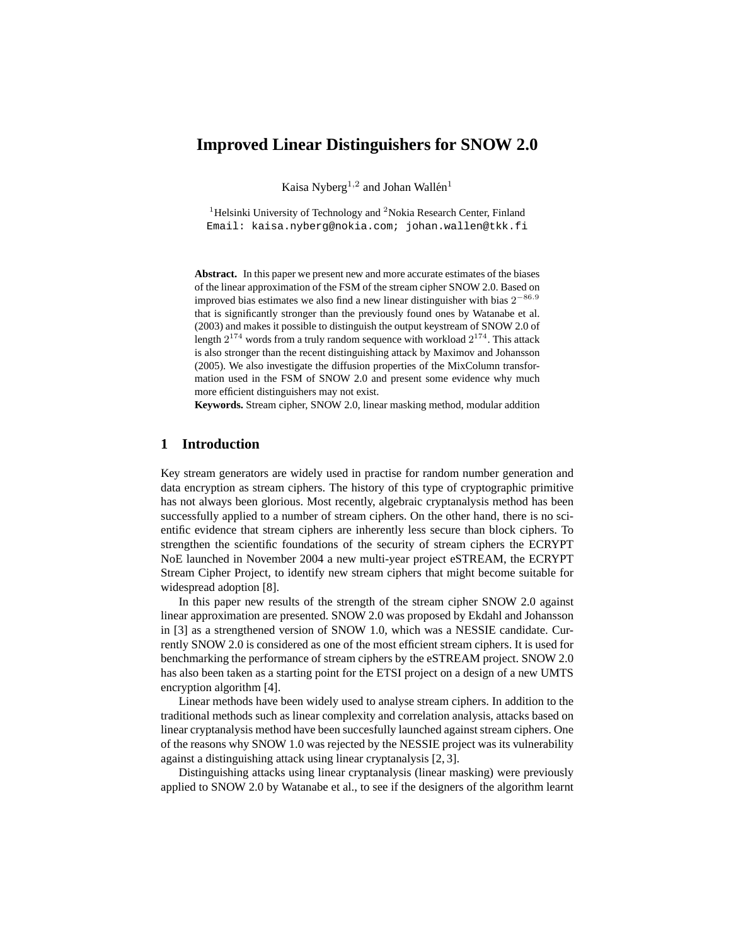# **Improved Linear Distinguishers for SNOW 2.0**

Kaisa Nyberg<sup>1,2</sup> and Johan Wallén<sup>1</sup>

<sup>1</sup>Helsinki University of Technology and  $2N$ okia Research Center, Finland Email: kaisa.nyberg@nokia.com; johan.wallen@tkk.fi

**Abstract.** In this paper we present new and more accurate estimates of the biases of the linear approximation of the FSM of the stream cipher SNOW 2.0. Based on improved bias estimates we also find a new linear distinguisher with bias  $2^{-86.9}$ that is significantly stronger than the previously found ones by Watanabe et al. (2003) and makes it possible to distinguish the output keystream of SNOW 2.0 of length  $2^{174}$  words from a truly random sequence with workload  $2^{174}$ . This attack is also stronger than the recent distinguishing attack by Maximov and Johansson (2005). We also investigate the diffusion properties of the MixColumn transformation used in the FSM of SNOW 2.0 and present some evidence why much more efficient distinguishers may not exist.

**Keywords.** Stream cipher, SNOW 2.0, linear masking method, modular addition

## **1 Introduction**

Key stream generators are widely used in practise for random number generation and data encryption as stream ciphers. The history of this type of cryptographic primitive has not always been glorious. Most recently, algebraic cryptanalysis method has been successfully applied to a number of stream ciphers. On the other hand, there is no scientific evidence that stream ciphers are inherently less secure than block ciphers. To strengthen the scientific foundations of the security of stream ciphers the ECRYPT NoE launched in November 2004 a new multi-year project eSTREAM, the ECRYPT Stream Cipher Project, to identify new stream ciphers that might become suitable for widespread adoption [8].

In this paper new results of the strength of the stream cipher SNOW 2.0 against linear approximation are presented. SNOW 2.0 was proposed by Ekdahl and Johansson in [3] as a strengthened version of SNOW 1.0, which was a NESSIE candidate. Currently SNOW 2.0 is considered as one of the most efficient stream ciphers. It is used for benchmarking the performance of stream ciphers by the eSTREAM project. SNOW 2.0 has also been taken as a starting point for the ETSI project on a design of a new UMTS encryption algorithm [4].

Linear methods have been widely used to analyse stream ciphers. In addition to the traditional methods such as linear complexity and correlation analysis, attacks based on linear cryptanalysis method have been succesfully launched against stream ciphers. One of the reasons why SNOW 1.0 was rejected by the NESSIE project was its vulnerability against a distinguishing attack using linear cryptanalysis [2, 3].

Distinguishing attacks using linear cryptanalysis (linear masking) were previously applied to SNOW 2.0 by Watanabe et al., to see if the designers of the algorithm learnt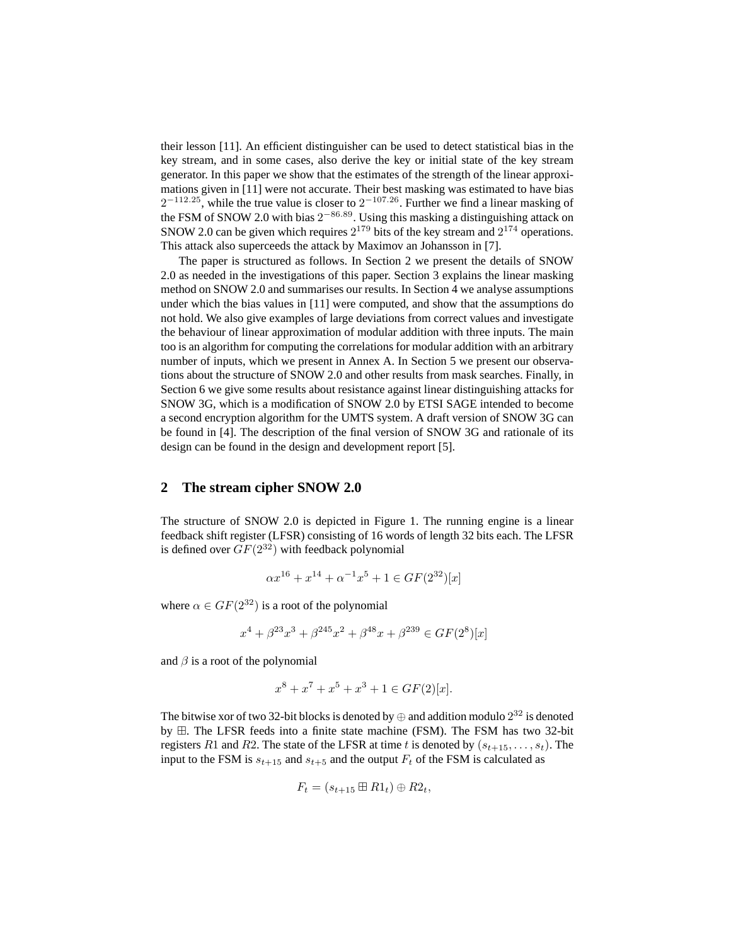their lesson [11]. An efficient distinguisher can be used to detect statistical bias in the key stream, and in some cases, also derive the key or initial state of the key stream generator. In this paper we show that the estimates of the strength of the linear approximations given in [11] were not accurate. Their best masking was estimated to have bias  $2^{-112.25}$ , while the true value is closer to  $2^{-107.26}$ . Further we find a linear masking of the FSM of SNOW 2.0 with bias  $2^{-86.89}$ . Using this masking a distinguishing attack on SNOW 2.0 can be given which requires  $2^{179}$  bits of the key stream and  $2^{174}$  operations. This attack also superceeds the attack by Maximov an Johansson in [7].

The paper is structured as follows. In Section 2 we present the details of SNOW 2.0 as needed in the investigations of this paper. Section 3 explains the linear masking method on SNOW 2.0 and summarises our results. In Section 4 we analyse assumptions under which the bias values in [11] were computed, and show that the assumptions do not hold. We also give examples of large deviations from correct values and investigate the behaviour of linear approximation of modular addition with three inputs. The main too is an algorithm for computing the correlations for modular addition with an arbitrary number of inputs, which we present in Annex A. In Section 5 we present our observations about the structure of SNOW 2.0 and other results from mask searches. Finally, in Section 6 we give some results about resistance against linear distinguishing attacks for SNOW 3G, which is a modification of SNOW 2.0 by ETSI SAGE intended to become a second encryption algorithm for the UMTS system. A draft version of SNOW 3G can be found in [4]. The description of the final version of SNOW 3G and rationale of its design can be found in the design and development report [5].

### **2 The stream cipher SNOW 2.0**

The structure of SNOW 2.0 is depicted in Figure 1. The running engine is a linear feedback shift register (LFSR) consisting of 16 words of length 32 bits each. The LFSR is defined over  $GF(2^{32})$  with feedback polynomial

$$
\alpha x^{16} + x^{14} + \alpha^{-1} x^5 + 1 \in GF(2^{32})[x]
$$

where  $\alpha \in GF(2^{32})$  is a root of the polynomial

$$
x^{4} + \beta^{23}x^{3} + \beta^{245}x^{2} + \beta^{48}x + \beta^{239} \in GF(2^{8})[x]
$$

and  $\beta$  is a root of the polynomial

$$
x^{8} + x^{7} + x^{5} + x^{3} + 1 \in GF(2)[x].
$$

The bitwise xor of two 32-bit blocks is denoted by  $\oplus$  and addition modulo  $2^{32}$  is denoted by  $\boxplus$ . The LFSR feeds into a finite state machine (FSM). The FSM has two 32-bit registers R1 and R2. The state of the LFSR at time t is denoted by  $(s_{t+15}, \ldots, s_t)$ . The input to the FSM is  $s_{t+15}$  and  $s_{t+5}$  and the output  $F_t$  of the FSM is calculated as

$$
F_t = (s_{t+15} \boxplus R1_t) \oplus R2_t,
$$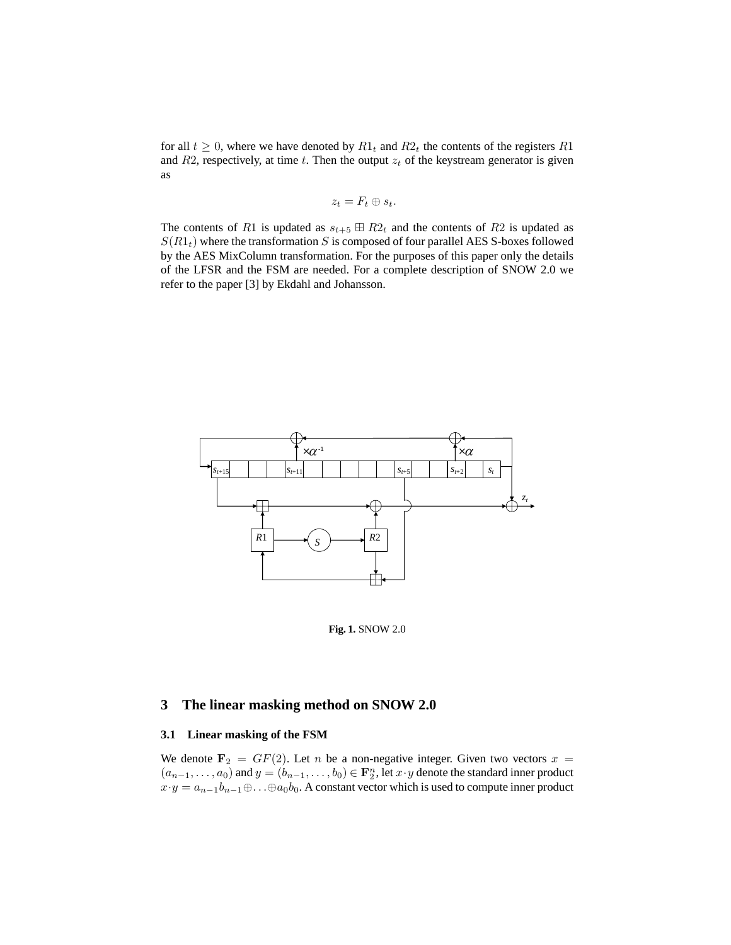for all  $t \geq 0$ , where we have denoted by  $R1_t$  and  $R2_t$  the contents of the registers R1 and R2, respectively, at time t. Then the output  $z_t$  of the keystream generator is given as

$$
z_t = F_t \oplus s_t.
$$

The contents of R1 is updated as  $s_{t+5} \boxplus R2_t$  and the contents of R2 is updated as  $S(R1_t)$  where the transformation S is composed of four parallel AES S-boxes followed by the AES MixColumn transformation. For the purposes of this paper only the details of the LFSR and the FSM are needed. For a complete description of SNOW 2.0 we refer to the paper [3] by Ekdahl and Johansson.



**Fig. 1.** SNOW 2.0

# **3 The linear masking method on SNOW 2.0**

### **3.1 Linear masking of the FSM**

We denote  $\mathbf{F}_2 = GF(2)$ . Let *n* be a non-negative integer. Given two vectors  $x =$  $(a_{n-1},...,a_0)$  and  $y=(b_{n-1},...,b_0) \in \mathbf{F}_2^n$ , let  $x \cdot y$  denote the standard inner product  $x \cdot y = a_{n-1}b_{n-1} \oplus \ldots \oplus a_0b_0$ . A constant vector which is used to compute inner product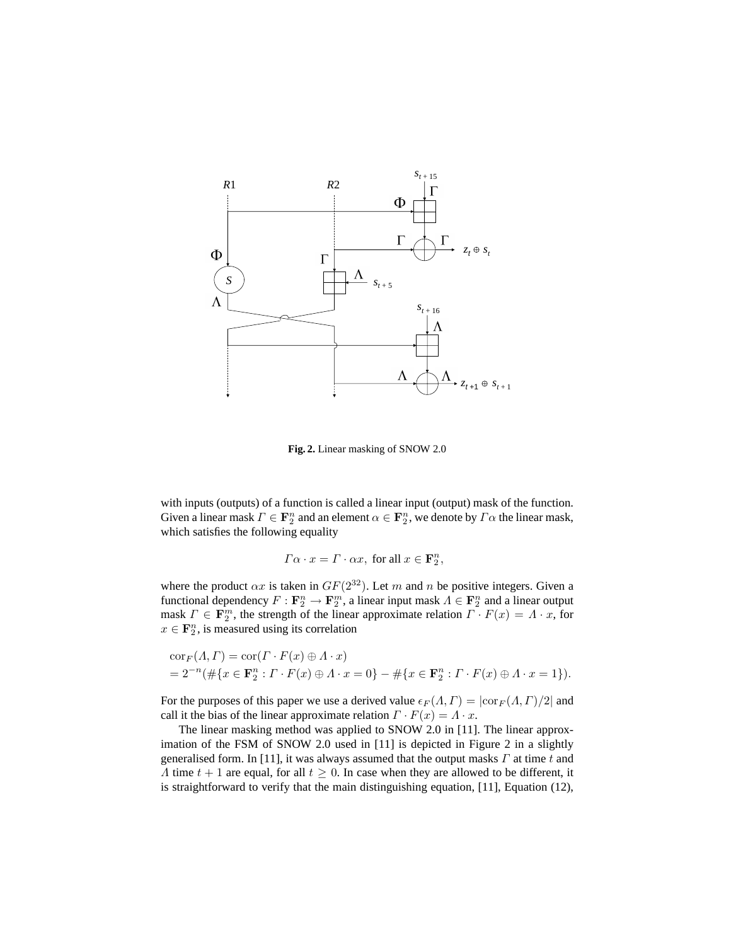

**Fig. 2.** Linear masking of SNOW 2.0

with inputs (outputs) of a function is called a linear input (output) mask of the function. Given a linear mask  $\Gamma \in \mathbf{F}_2^n$  and an element  $\alpha \in \mathbf{F}_2^n$ , we denote by  $\Gamma \alpha$  the linear mask, which satisfies the following equality

$$
\varGamma\alpha\cdot x=\varGamma\cdot\alpha x,\ \text{for all}\ x\in\mathbf{F}_2^n,
$$

where the product  $\alpha x$  is taken in  $GF(2^{32})$ . Let m and n be positive integers. Given a functional dependency  $F: \mathbf{F}_2^n \to \mathbf{F}_2^m$ , a linear input mask  $\Lambda \in \mathbf{F}_2^n$  and a linear output mask  $\Gamma \in \mathbf{F}_2^m$ , the strength of the linear approximate relation  $\Gamma \cdot F(x) = \Lambda \cdot x$ , for  $x \in \mathbf{F}_2^n$ , is measured using its correlation

$$
cor_F(\Lambda, \Gamma) = cor(\Gamma \cdot F(x) \oplus \Lambda \cdot x)
$$
  
= 2<sup>-n</sup>(#{x \in **F**<sub>2</sub><sup>n</sup> :  $\Gamma \cdot F(x) \oplus \Lambda \cdot x = 0$ } - #{x \in **F**<sub>2</sub><sup>n</sup> :  $\Gamma \cdot F(x) \oplus \Lambda \cdot x = 1$ }).

For the purposes of this paper we use a derived value  $\epsilon_F (\Lambda, \Gamma) = |\text{cor}_F (\Lambda, \Gamma)/2|$  and call it the bias of the linear approximate relation  $\Gamma \cdot F(x) = \Lambda \cdot x$ .

The linear masking method was applied to SNOW 2.0 in [11]. The linear approximation of the FSM of SNOW 2.0 used in [11] is depicted in Figure 2 in a slightly generalised form. In [11], it was always assumed that the output masks  $\Gamma$  at time t and  $\Lambda$  time  $t + 1$  are equal, for all  $t \geq 0$ . In case when they are allowed to be different, it is straightforward to verify that the main distinguishing equation, [11], Equation (12),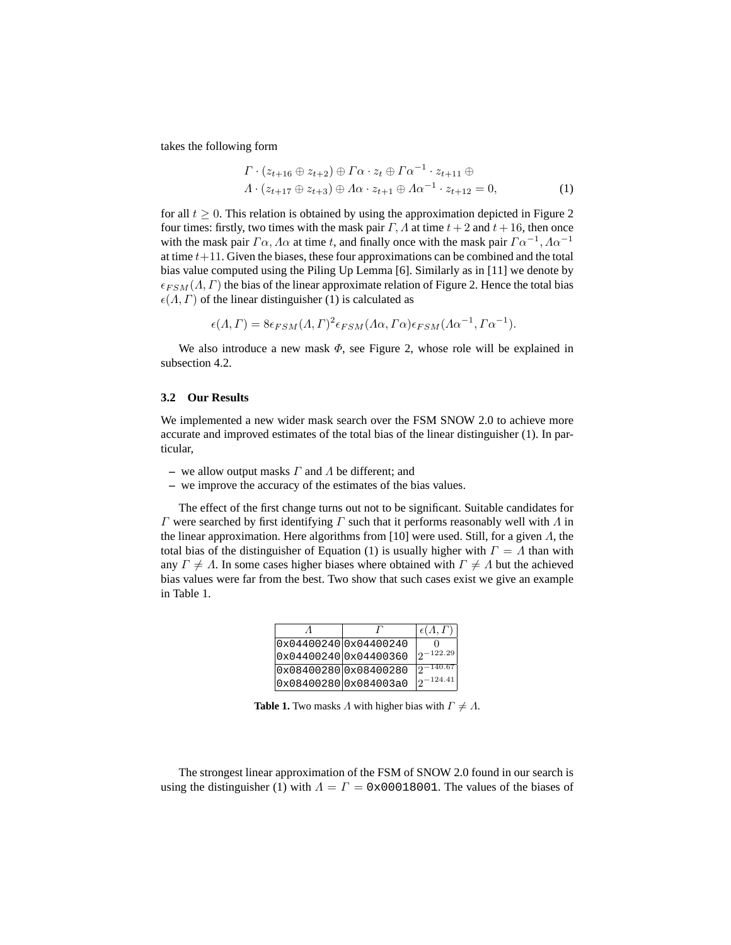takes the following form

$$
\Gamma \cdot (z_{t+16} \oplus z_{t+2}) \oplus \Gamma \alpha \cdot z_t \oplus \Gamma \alpha^{-1} \cdot z_{t+11} \oplus \n\Lambda \cdot (z_{t+17} \oplus z_{t+3}) \oplus \Lambda \alpha \cdot z_{t+1} \oplus \Lambda \alpha^{-1} \cdot z_{t+12} = 0,
$$
\n(1)

for all  $t \geq 0$ . This relation is obtained by using the approximation depicted in Figure 2 four times: firstly, two times with the mask pair  $\Gamma$ ,  $\Lambda$  at time  $t + 2$  and  $t + 16$ , then once with the mask pair  $\Gamma \alpha$ ,  $\Lambda \alpha$  at time t, and finally once with the mask pair  $\Gamma \alpha^{-1}$ ,  $\Lambda \alpha^{-1}$ at time  $t+11$ . Given the biases, these four approximations can be combined and the total bias value computed using the Piling Up Lemma [6]. Similarly as in [11] we denote by  $\epsilon_{FSM}(\Lambda, \Gamma)$  the bias of the linear approximate relation of Figure 2. Hence the total bias  $\epsilon(A, \Gamma)$  of the linear distinguisher (1) is calculated as

$$
\epsilon(\Lambda, \Gamma) = 8\epsilon_{FSM}(\Lambda, \Gamma)^2 \epsilon_{FSM}(\Lambda \alpha, \Gamma \alpha) \epsilon_{FSM}(\Lambda \alpha^{-1}, \Gamma \alpha^{-1}).
$$

We also introduce a new mask  $\Phi$ , see Figure 2, whose role will be explained in subsection 4.2.

### **3.2 Our Results**

We implemented a new wider mask search over the FSM SNOW 2.0 to achieve more accurate and improved estimates of the total bias of the linear distinguisher (1). In particular,

- **–** we allow output masks Γ and Λ be different; and
- **–** we improve the accuracy of the estimates of the bias values.

The effect of the first change turns out not to be significant. Suitable candidates for Γ were searched by first identifying Γ such that it performs reasonably well with  $Λ$  in the linear approximation. Here algorithms from [10] were used. Still, for a given  $\Lambda$ , the total bias of the distinguisher of Equation (1) is usually higher with  $\Gamma = \Lambda$  than with any  $\Gamma \neq \Lambda$ . In some cases higher biases where obtained with  $\Gamma \neq \Lambda$  but the achieved bias values were far from the best. Two show that such cases exist we give an example in Table 1.

|                      | $\epsilon(A,\Gamma)$ |
|----------------------|----------------------|
| 0x044002400x04400240 |                      |
| 0x044002400x04400360 | 122.29               |
| 0x084002800x08400280 | $-140.67$            |
| 0x084002800x084003a0 | $2^{-124.41}$        |

**Table 1.** Two masks  $\Lambda$  with higher bias with  $\Gamma \neq \Lambda$ .

The strongest linear approximation of the FSM of SNOW 2.0 found in our search is using the distinguisher (1) with  $\Lambda = \Gamma = 0 \times 00018001$ . The values of the biases of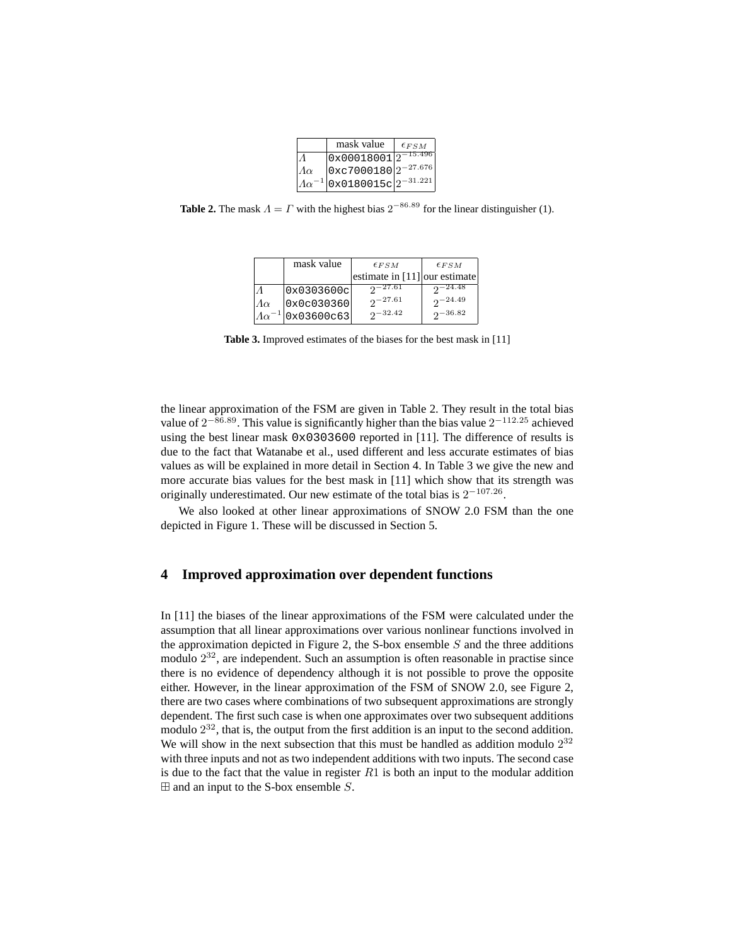|                                          | mask value                | $\epsilon_{FSM}$ |
|------------------------------------------|---------------------------|------------------|
|                                          | $0x000180012^{-15.496}$   |                  |
| $A\alpha$                                | $0xc7000180 2^{-27.676} $ |                  |
| $\Lambda$ <sub><math>\alpha</math></sub> | $0x0180015c 2^{-31.221}$  |                  |

**Table 2.** The mask  $\Lambda = \Gamma$  with the highest bias  $2^{-86.89}$  for the linear distinguisher (1).

|                     | mask value | $\epsilon_{FSM}$              | $\epsilon_{FSM}$  |
|---------------------|------------|-------------------------------|-------------------|
|                     |            | estimate in [11] our estimate |                   |
|                     | 0x0303600c | -27.61                        | –24.48            |
| $\varLambda \alpha$ | 0x0c030360 | $2^{-27.61}$                  | $2-24.49$         |
| $A\alpha$           | 0x03600c63 | $2^{\sim}$ -32.42             | $2^{\sim}$ -36.82 |

**Table 3.** Improved estimates of the biases for the best mask in [11]

the linear approximation of the FSM are given in Table 2. They result in the total bias value of  $2^{-86.89}$ . This value is significantly higher than the bias value  $2^{-112.25}$  achieved using the best linear mask 0x0303600 reported in [11]. The difference of results is due to the fact that Watanabe et al., used different and less accurate estimates of bias values as will be explained in more detail in Section 4. In Table 3 we give the new and more accurate bias values for the best mask in [11] which show that its strength was originally underestimated. Our new estimate of the total bias is  $2^{-107.26}$ .

We also looked at other linear approximations of SNOW 2.0 FSM than the one depicted in Figure 1. These will be discussed in Section 5.

# **4 Improved approximation over dependent functions**

In [11] the biases of the linear approximations of the FSM were calculated under the assumption that all linear approximations over various nonlinear functions involved in the approximation depicted in Figure 2, the S-box ensemble  $S$  and the three additions modulo  $2^{32}$ , are independent. Such an assumption is often reasonable in practise since there is no evidence of dependency although it is not possible to prove the opposite either. However, in the linear approximation of the FSM of SNOW 2.0, see Figure 2, there are two cases where combinations of two subsequent approximations are strongly dependent. The first such case is when one approximates over two subsequent additions modulo  $2^{32}$ , that is, the output from the first addition is an input to the second addition. We will show in the next subsection that this must be handled as addition modulo  $2^{32}$ with three inputs and not as two independent additions with two inputs. The second case is due to the fact that the value in register  $R1$  is both an input to the modular addition  $\boxplus$  and an input to the S-box ensemble S.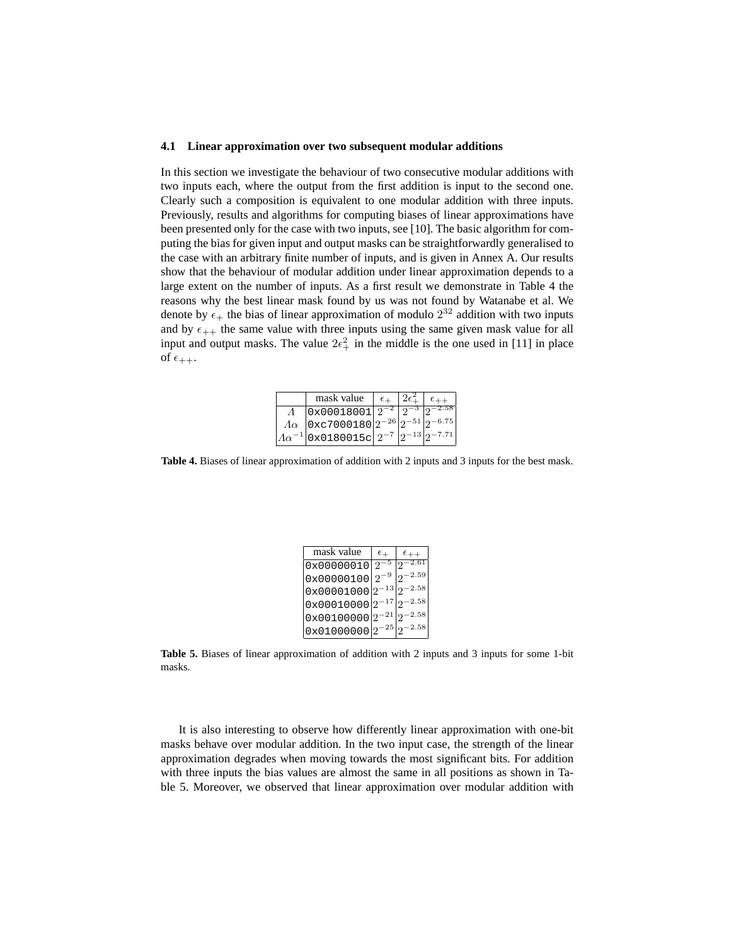#### **4.1 Linear approximation over two subsequent modular additions**

In this section we investigate the behaviour of two consecutive modular additions with two inputs each, where the output from the first addition is input to the second one. Clearly such a composition is equivalent to one modular addition with three inputs. Previously, results and algorithms for computing biases of linear approximations have been presented only for the case with two inputs, see [10]. The basic algorithm for computing the bias for given input and output masks can be straightforwardly generalised to the case with an arbitrary finite number of inputs, and is given in Annex A. Our results show that the behaviour of modular addition under linear approximation depends to a large extent on the number of inputs. As a first result we demonstrate in Table 4 the reasons why the best linear mask found by us was not found by Watanabe et al. We denote by  $\epsilon_+$  the bias of linear approximation of modulo  $2^{32}$  addition with two inputs and by  $\epsilon_{++}$  the same value with three inputs using the same given mask value for all input and output masks. The value  $2\epsilon_+^2$  in the middle is the one used in [11] in place of  $\epsilon_{++}$ .

|  | mask value $\epsilon_+$ $2\epsilon_+^2$ $\epsilon_{++}$        |  |  |
|--|----------------------------------------------------------------|--|--|
|  | $0x00018001$ $2^{-2}$ $2^{-3}$ $2^{-2.58}$                     |  |  |
|  | $A\alpha$   0xc7000180 $ 2^{-26} 2^{-51} 2^{-6.75}$            |  |  |
|  | $ \Lambda\alpha^{-1} $ 0x0180015c $ 2^{-7} 2^{-13} 2^{-7.71} $ |  |  |

**Table 4.** Biases of linear approximation of addition with 2 inputs and 3 inputs for the best mask.

| mask value                       | $\epsilon$ + | $\epsilon_{++}$ |
|----------------------------------|--------------|-----------------|
| $0x00000010$ <sup>2-5</sup>      |              | $\mathcal{D}$   |
| 0x00000100 $2^{-9}$ $2^{-2.59}$  |              |                 |
| $0x00001000 2^{-13} 2^{-2.58}$   |              |                 |
| $0x00010000 2^{-17} 2^{-2.58}$   |              |                 |
| $0x0010000002^{-21}2^{-2.58}$    |              |                 |
| $0x0100000002^{-25}$ $2^{-2.58}$ |              |                 |

**Table 5.** Biases of linear approximation of addition with 2 inputs and 3 inputs for some 1-bit masks.

It is also interesting to observe how differently linear approximation with one-bit masks behave over modular addition. In the two input case, the strength of the linear approximation degrades when moving towards the most significant bits. For addition with three inputs the bias values are almost the same in all positions as shown in Table 5. Moreover, we observed that linear approximation over modular addition with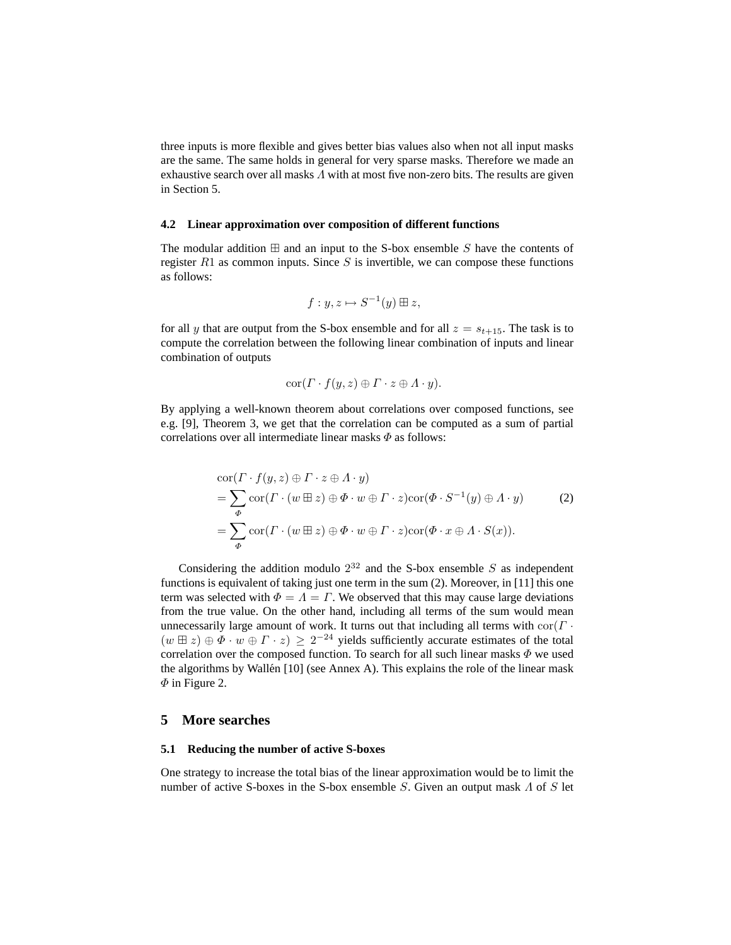three inputs is more flexible and gives better bias values also when not all input masks are the same. The same holds in general for very sparse masks. Therefore we made an exhaustive search over all masks  $\Lambda$  with at most five non-zero bits. The results are given in Section 5.

#### **4.2 Linear approximation over composition of different functions**

The modular addition  $\boxplus$  and an input to the S-box ensemble S have the contents of register  $R1$  as common inputs. Since  $S$  is invertible, we can compose these functions as follows:

$$
f: y, z \mapsto S^{-1}(y) \boxplus z,
$$

for all y that are output from the S-box ensemble and for all  $z = s_{t+15}$ . The task is to compute the correlation between the following linear combination of inputs and linear combination of outputs

$$
cor(\Gamma \cdot f(y, z) \oplus \Gamma \cdot z \oplus \Lambda \cdot y).
$$

By applying a well-known theorem about correlations over composed functions, see e.g. [9], Theorem 3, we get that the correlation can be computed as a sum of partial correlations over all intermediate linear masks  $\Phi$  as follows:

$$
\begin{aligned}\n\text{cor}( \Gamma \cdot f(y, z) \oplus \Gamma \cdot z \oplus \Lambda \cdot y) \\
&= \sum_{\Phi} \text{cor}(\Gamma \cdot (w \boxplus z) \oplus \Phi \cdot w \oplus \Gamma \cdot z) \text{cor}(\Phi \cdot S^{-1}(y) \oplus \Lambda \cdot y) \\
&= \sum_{\Phi} \text{cor}(\Gamma \cdot (w \boxplus z) \oplus \Phi \cdot w \oplus \Gamma \cdot z) \text{cor}(\Phi \cdot x \oplus \Lambda \cdot S(x)).\n\end{aligned}
$$
\n(2)

Considering the addition modulo  $2^{32}$  and the S-box ensemble S as independent functions is equivalent of taking just one term in the sum (2). Moreover, in [11] this one term was selected with  $\Phi = \Lambda = \Gamma$ . We observed that this may cause large deviations from the true value. On the other hand, including all terms of the sum would mean unnecessarily large amount of work. It turns out that including all terms with  $\text{cor}( \Gamma \cdot )$  $(w \boxplus z) \oplus \overline{\Phi} \cdot w \oplus \overline{\Gamma} \cdot z) \geq 2^{-24}$  yields sufficiently accurate estimates of the total correlation over the composed function. To search for all such linear masks  $\Phi$  we used the algorithms by Wallén [10] (see Annex A). This explains the role of the linear mask  $\Phi$  in Figure 2.

### **5 More searches**

### **5.1 Reducing the number of active S-boxes**

One strategy to increase the total bias of the linear approximation would be to limit the number of active S-boxes in the S-box ensemble S. Given an output mask  $\Lambda$  of S let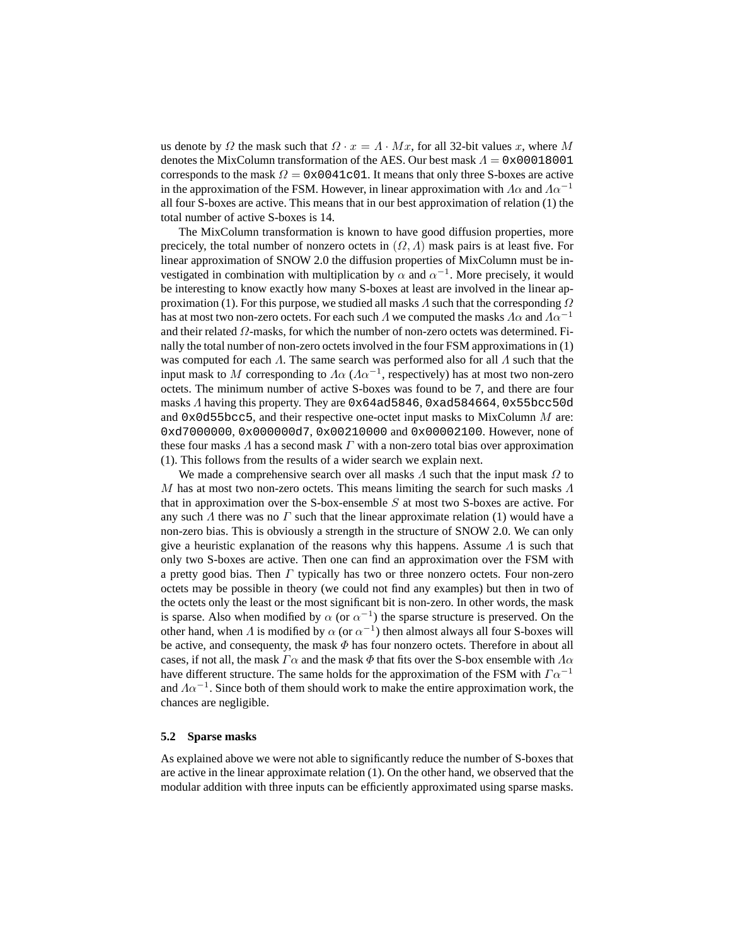us denote by  $\Omega$  the mask such that  $\Omega \cdot x = \Lambda \cdot Mx$ , for all 32-bit values x, where M denotes the MixColumn transformation of the AES. Our best mask  $\Lambda = 0 \times 00018001$ corresponds to the mask  $\Omega = 0 \times 0041c01$ . It means that only three S-boxes are active in the approximation of the FSM. However, in linear approximation with  $\Lambda \alpha$  and  $\Lambda \alpha^{-1}$ all four S-boxes are active. This means that in our best approximation of relation (1) the total number of active S-boxes is 14.

The MixColumn transformation is known to have good diffusion properties, more precicely, the total number of nonzero octets in  $(\Omega, \Lambda)$  mask pairs is at least five. For linear approximation of SNOW 2.0 the diffusion properties of MixColumn must be investigated in combination with multiplication by  $\alpha$  and  $\alpha^{-1}$ . More precisely, it would be interesting to know exactly how many S-boxes at least are involved in the linear approximation (1). For this purpose, we studied all masks  $\Lambda$  such that the corresponding  $\Omega$ has at most two non-zero octets. For each such  $\Lambda$  we computed the masks  $\Lambda \alpha$  and  $\Lambda \alpha^{-1}$ and their related  $\Omega$ -masks, for which the number of non-zero octets was determined. Finally the total number of non-zero octets involved in the four FSM approximations in (1) was computed for each Λ. The same search was performed also for all Λ such that the input mask to M corresponding to  $\Lambda \alpha$  ( $\Lambda \alpha^{-1}$ , respectively) has at most two non-zero octets. The minimum number of active S-boxes was found to be 7, and there are four masks  $\Lambda$  having this property. They are 0x64ad5846, 0xad584664, 0x55bcc50d and  $0 \times 0$ d55bcc5, and their respective one-octet input masks to MixColumn M are: 0xd7000000, 0x000000d7, 0x00210000 and 0x00002100. However, none of these four masks  $\Lambda$  has a second mask  $\Gamma$  with a non-zero total bias over approximation (1). This follows from the results of a wider search we explain next.

We made a comprehensive search over all masks  $\Lambda$  such that the input mask  $\Omega$  to M has at most two non-zero octets. This means limiting the search for such masks  $\Lambda$ that in approximation over the S-box-ensemble S at most two S-boxes are active. For any such  $\Lambda$  there was no  $\Gamma$  such that the linear approximate relation (1) would have a non-zero bias. This is obviously a strength in the structure of SNOW 2.0. We can only give a heuristic explanation of the reasons why this happens. Assume  $\Lambda$  is such that only two S-boxes are active. Then one can find an approximation over the FSM with a pretty good bias. Then  $\Gamma$  typically has two or three nonzero octets. Four non-zero octets may be possible in theory (we could not find any examples) but then in two of the octets only the least or the most significant bit is non-zero. In other words, the mask is sparse. Also when modified by  $\alpha$  (or  $\alpha^{-1}$ ) the sparse structure is preserved. On the other hand, when  $\Lambda$  is modified by  $\alpha$  (or  $\alpha^{-1}$ ) then almost always all four S-boxes will be active, and consequenty, the mask  $\Phi$  has four nonzero octets. Therefore in about all cases, if not all, the mask  $\Gamma \alpha$  and the mask  $\Phi$  that fits over the S-box ensemble with  $\Lambda \alpha$ have different structure. The same holds for the approximation of the FSM with  $\Gamma \alpha^{-1}$ and  $\Lambda \alpha^{-1}$ . Since both of them should work to make the entire approximation work, the chances are negligible.

#### **5.2 Sparse masks**

As explained above we were not able to significantly reduce the number of S-boxes that are active in the linear approximate relation (1). On the other hand, we observed that the modular addition with three inputs can be efficiently approximated using sparse masks.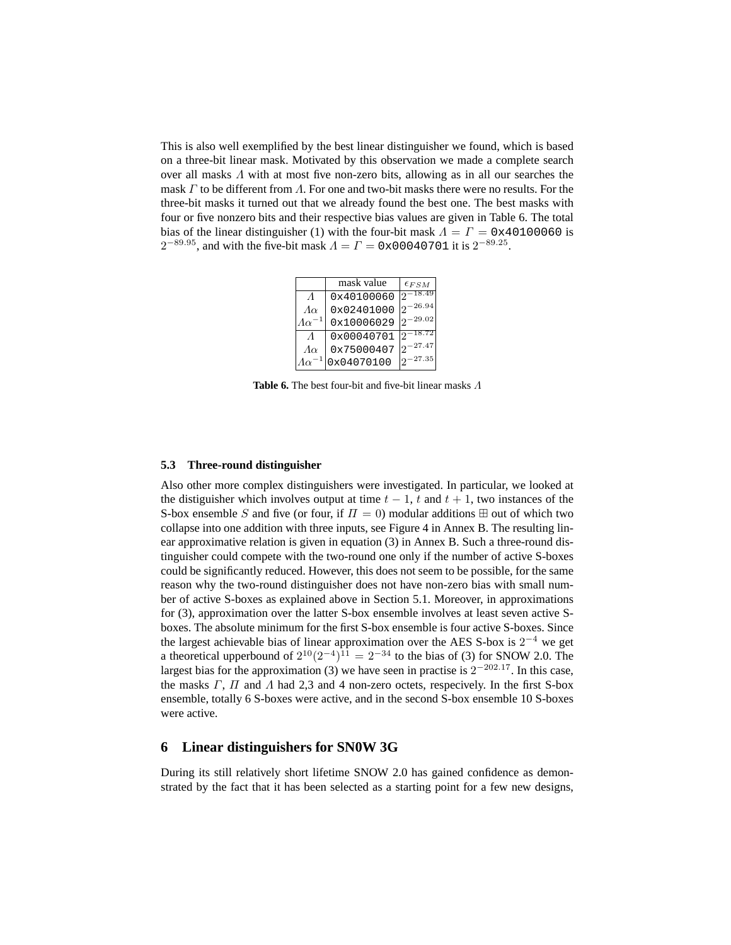This is also well exemplified by the best linear distinguisher we found, which is based on a three-bit linear mask. Motivated by this observation we made a complete search over all masks  $\Lambda$  with at most five non-zero bits, allowing as in all our searches the mask  $\Gamma$  to be different from  $\Lambda$ . For one and two-bit masks there were no results. For the three-bit masks it turned out that we already found the best one. The best masks with four or five nonzero bits and their respective bias values are given in Table 6. The total bias of the linear distinguisher (1) with the four-bit mask  $\Lambda = \Gamma = 0 \times 40100060$  is  $2^{-89.95}$ , and with the five-bit mask  $\Lambda = \Gamma = 0 \times 00040701$  it is  $2^{-89.25}$ .

|                    | mask value | $\epsilon_{FSM}$          |
|--------------------|------------|---------------------------|
|                    | 0x40100060 | $\Omega$                  |
| $A\alpha$          | 0x02401000 | $2^{-26.94}$              |
|                    | 0x10006029 | $-29.02$<br>$\mathcal{D}$ |
|                    | 0x00040701 | $\mathcal{D}$             |
| $\varLambda\alpha$ | 0x75000407 | $2^{-27.47}$              |
|                    | 0x04070100 | $2^{-27.35}$              |

**Table 6.** The best four-bit and five-bit linear masks Λ

#### **5.3 Three-round distinguisher**

Also other more complex distinguishers were investigated. In particular, we looked at the distiguisher which involves output at time  $t - 1$ , t and  $t + 1$ , two instances of the S-box ensemble S and five (or four, if  $\Pi = 0$ ) modular additions  $\boxplus$  out of which two collapse into one addition with three inputs, see Figure 4 in Annex B. The resulting linear approximative relation is given in equation (3) in Annex B. Such a three-round distinguisher could compete with the two-round one only if the number of active S-boxes could be significantly reduced. However, this does not seem to be possible, for the same reason why the two-round distinguisher does not have non-zero bias with small number of active S-boxes as explained above in Section 5.1. Moreover, in approximations for (3), approximation over the latter S-box ensemble involves at least seven active Sboxes. The absolute minimum for the first S-box ensemble is four active S-boxes. Since the largest achievable bias of linear approximation over the AES S-box is  $2^{-4}$  we get a theoretical upperbound of  $2^{10}(2^{-4})^{11} = 2^{-34}$  to the bias of (3) for SNOW 2.0. The largest bias for the approximation (3) we have seen in practise is  $2^{-202.17}$ . In this case, the masks  $\Gamma$ ,  $\Pi$  and  $\Lambda$  had 2,3 and 4 non-zero octets, respecively. In the first S-box ensemble, totally 6 S-boxes were active, and in the second S-box ensemble 10 S-boxes were active.

# **6 Linear distinguishers for SN0W 3G**

During its still relatively short lifetime SNOW 2.0 has gained confidence as demonstrated by the fact that it has been selected as a starting point for a few new designs,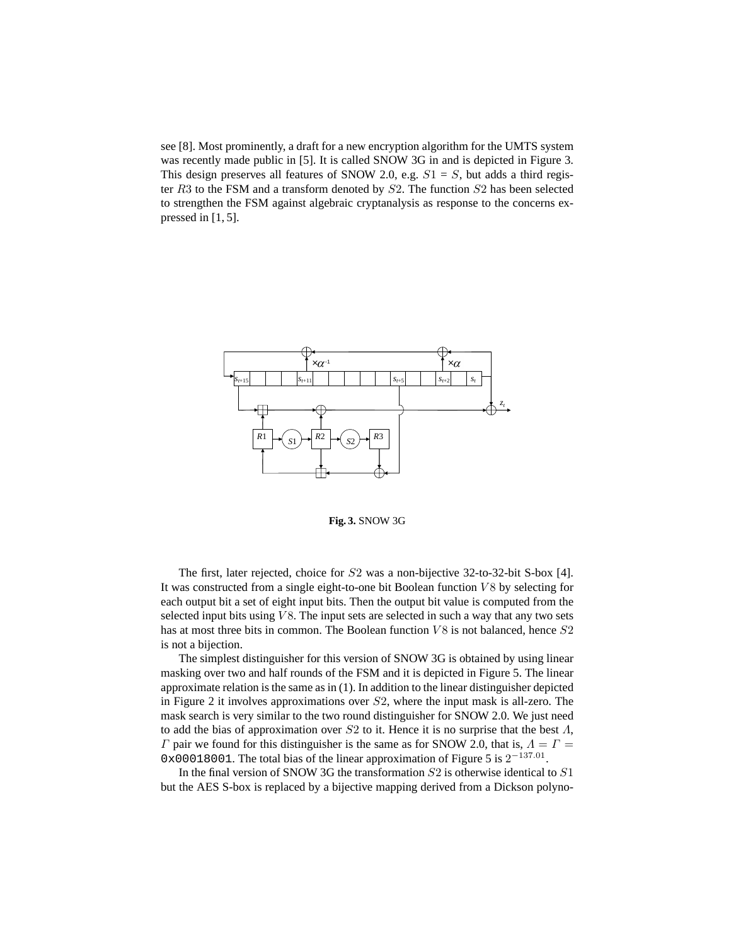see [8]. Most prominently, a draft for a new encryption algorithm for the UMTS system was recently made public in [5]. It is called SNOW 3G in and is depicted in Figure 3. This design preserves all features of SNOW 2.0, e.g.  $S1 = S$ , but adds a third register  $R3$  to the FSM and a transform denoted by  $S2$ . The function  $S2$  has been selected to strengthen the FSM against algebraic cryptanalysis as response to the concerns expressed in [1, 5].



**Fig. 3.** SNOW 3G

The first, later rejected, choice for S2 was a non-bijective 32-to-32-bit S-box [4]. It was constructed from a single eight-to-one bit Boolean function  $V8$  by selecting for each output bit a set of eight input bits. Then the output bit value is computed from the selected input bits using  $V8$ . The input sets are selected in such a way that any two sets has at most three bits in common. The Boolean function  $V8$  is not balanced, hence  $S2$ is not a bijection.

The simplest distinguisher for this version of SNOW 3G is obtained by using linear masking over two and half rounds of the FSM and it is depicted in Figure 5. The linear approximate relation is the same as in (1). In addition to the linear distinguisher depicted in Figure 2 it involves approximations over S2, where the input mask is all-zero. The mask search is very similar to the two round distinguisher for SNOW 2.0. We just need to add the bias of approximation over  $S2$  to it. Hence it is no surprise that the best  $\Lambda$ ,  $Γ$  pair we found for this distinguisher is the same as for SNOW 2.0, that is,  $Λ = Γ$  $0 \times 00018001$ . The total bias of the linear approximation of Figure 5 is  $2^{-137.01}$ .

In the final version of SNOW 3G the transformation  $S2$  is otherwise identical to  $S1$ but the AES S-box is replaced by a bijective mapping derived from a Dickson polyno-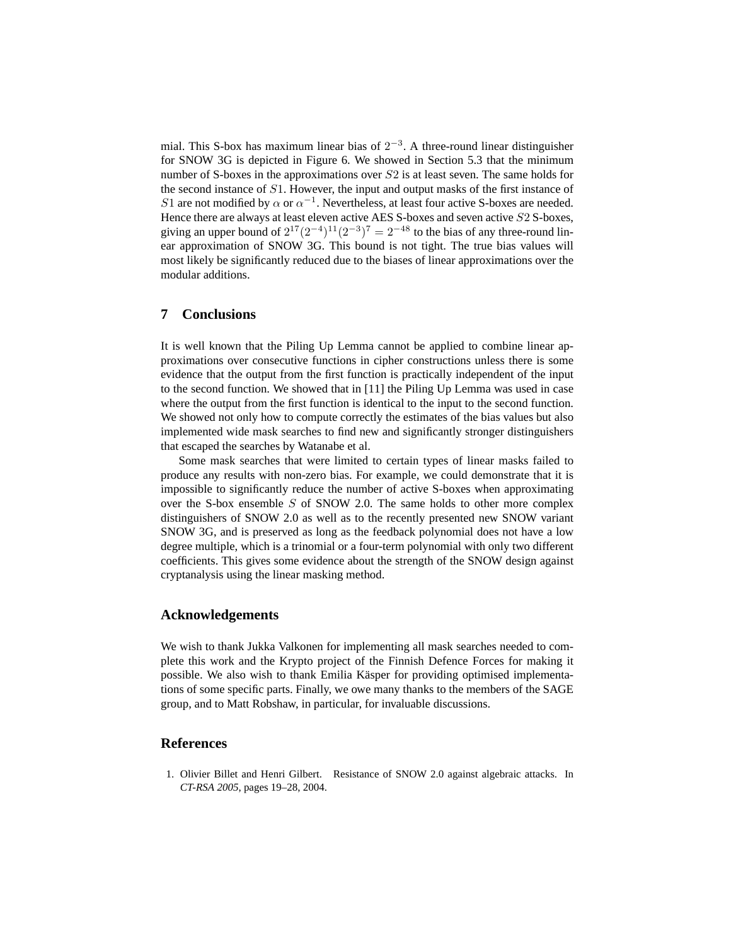mial. This S-box has maximum linear bias of  $2^{-3}$ . A three-round linear distinguisher for SNOW 3G is depicted in Figure 6. We showed in Section 5.3 that the minimum number of S-boxes in the approximations over S2 is at least seven. The same holds for the second instance of S1. However, the input and output masks of the first instance of S1 are not modified by  $\alpha$  or  $\alpha^{-1}$ . Nevertheless, at least four active S-boxes are needed. Hence there are always at least eleven active AES S-boxes and seven active  $S2$  S-boxes, giving an upper bound of  $2^{17}(2^{-4})^{11}(2^{-3})^7 = 2^{-48}$  to the bias of any three-round linear approximation of SNOW 3G. This bound is not tight. The true bias values will most likely be significantly reduced due to the biases of linear approximations over the modular additions.

# **7 Conclusions**

It is well known that the Piling Up Lemma cannot be applied to combine linear approximations over consecutive functions in cipher constructions unless there is some evidence that the output from the first function is practically independent of the input to the second function. We showed that in [11] the Piling Up Lemma was used in case where the output from the first function is identical to the input to the second function. We showed not only how to compute correctly the estimates of the bias values but also implemented wide mask searches to find new and significantly stronger distinguishers that escaped the searches by Watanabe et al.

Some mask searches that were limited to certain types of linear masks failed to produce any results with non-zero bias. For example, we could demonstrate that it is impossible to significantly reduce the number of active S-boxes when approximating over the S-box ensemble  $S$  of SNOW 2.0. The same holds to other more complex distinguishers of SNOW 2.0 as well as to the recently presented new SNOW variant SNOW 3G, and is preserved as long as the feedback polynomial does not have a low degree multiple, which is a trinomial or a four-term polynomial with only two different coefficients. This gives some evidence about the strength of the SNOW design against cryptanalysis using the linear masking method.

## **Acknowledgements**

We wish to thank Jukka Valkonen for implementing all mask searches needed to complete this work and the Krypto project of the Finnish Defence Forces for making it possible. We also wish to thank Emilia Käsper for providing optimised implementations of some specific parts. Finally, we owe many thanks to the members of the SAGE group, and to Matt Robshaw, in particular, for invaluable discussions.

# **References**

1. Olivier Billet and Henri Gilbert. Resistance of SNOW 2.0 against algebraic attacks. In *CT-RSA 2005*, pages 19–28, 2004.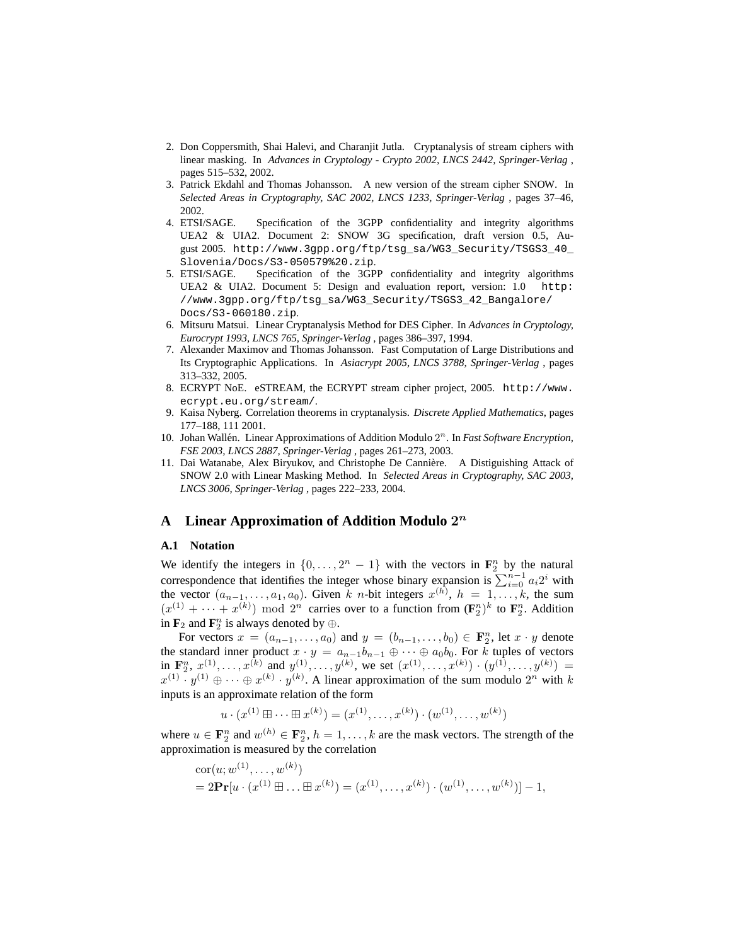- 2. Don Coppersmith, Shai Halevi, and Charanjit Jutla. Cryptanalysis of stream ciphers with linear masking. In *Advances in Cryptology - Crypto 2002, LNCS 2442, Springer-Verlag* , pages 515–532, 2002.
- 3. Patrick Ekdahl and Thomas Johansson. A new version of the stream cipher SNOW. In *Selected Areas in Cryptography, SAC 2002, LNCS 1233, Springer-Verlag* , pages 37–46, 2002.
- 4. ETSI/SAGE. Specification of the 3GPP confidentiality and integrity algorithms UEA2 & UIA2. Document 2: SNOW 3G specification, draft version 0.5, August 2005. http://www.3gpp.org/ftp/tsg\_sa/WG3\_Security/TSGS3\_40\_ Slovenia/Docs/S3-050579%20.zip.
- 5. ETSI/SAGE. Specification of the 3GPP confidentiality and integrity algorithms UEA2 & UIA2. Document 5: Design and evaluation report, version: 1.0 http: //www.3gpp.org/ftp/tsg\_sa/WG3\_Security/TSGS3\_42\_Bangalore/ Docs/S3-060180.zip.
- 6. Mitsuru Matsui. Linear Cryptanalysis Method for DES Cipher. In *Advances in Cryptology, Eurocrypt 1993, LNCS 765, Springer-Verlag* , pages 386–397, 1994.
- 7. Alexander Maximov and Thomas Johansson. Fast Computation of Large Distributions and Its Cryptographic Applications. In *Asiacrypt 2005, LNCS 3788, Springer-Verlag* , pages 313–332, 2005.
- 8. ECRYPT NoE. eSTREAM, the ECRYPT stream cipher project, 2005. http://www. ecrypt.eu.org/stream/.
- 9. Kaisa Nyberg. Correlation theorems in cryptanalysis. *Discrete Applied Mathematics*, pages 177–188, 111 2001.
- 10. Johan Wallén. Linear Approximations of Addition Modulo 2<sup>n</sup>. In *Fast Software Encryption*, *FSE 2003, LNCS 2887, Springer-Verlag* , pages 261–273, 2003.
- 11. Dai Watanabe, Alex Biryukov, and Christophe De Canniere. A Distiguishing Attack of ` SNOW 2.0 with Linear Masking Method. In *Selected Areas in Cryptography, SAC 2003, LNCS 3006, Springer-Verlag* , pages 222–233, 2004.

# **A Linear Approximation of Addition Modulo** 2 n

### **A.1 Notation**

We identify the integers in  $\{0, \ldots, 2^n - 1\}$  with the vectors in  $\mathbf{F}_2^n$  by the natural correspondence that identifies the integer whose binary expansion is  $\sum_{i=0}^{n-1} a_i 2^i$  with the vector  $(a_{n-1},...,a_1,a_0)$ . Given k n-bit integers  $x^{(h)}$ ,  $h = 1,...,k$ , the sum  $(x^{(1)} + \cdots + x^{(k)})$  mod  $2^n$  carries over to a function from  $(\mathbf{F}_2^n)^k$  to  $\mathbf{F}_2^n$ . Addition in  $\mathbf{F}_2$  and  $\mathbf{F}_2^n$  is always denoted by  $\oplus$ .

For vectors  $x = (a_{n-1}, \ldots, a_0)$  and  $y = (b_{n-1}, \ldots, b_0) \in \mathbf{F}_2^n$ , let  $x \cdot y$  denote the standard inner product  $x \cdot y = a_{n-1}b_{n-1} \oplus \cdots \oplus a_0b_0$ . For k tuples of vectors in  $\mathbf{F}_2^n$ ,  $x^{(1)}, \ldots, x^{(k)}$  and  $y^{(1)}, \ldots, y^{(k)}$ , we set  $(x^{(1)}, \ldots, x^{(k)}) \cdot (y^{(1)}, \ldots, y^{(k)}) =$  $x^{(1)} \cdot y^{(1)} \oplus \cdots \oplus x^{(k)} \cdot y^{(k)}$ . A linear approximation of the sum modulo  $2^n$  with k inputs is an approximate relation of the form

$$
u \cdot (x^{(1)} \boxplus \cdots \boxplus x^{(k)}) = (x^{(1)}, \ldots, x^{(k)}) \cdot (w^{(1)}, \ldots, w^{(k)})
$$

where  $u \in \mathbf{F}_2^n$  and  $w^{(h)} \in \mathbf{F}_2^n$ ,  $h = 1, \dots, k$  are the mask vectors. The strength of the approximation is measured by the correlation

$$
cor(u; w^{(1)}, \dots, w^{(k)})
$$
  
=  $2\mathbf{Pr}[u \cdot (x^{(1)} \boxplus \dots \boxplus x^{(k)}) = (x^{(1)}, \dots, x^{(k)}) \cdot (w^{(1)}, \dots, w^{(k)})] - 1,$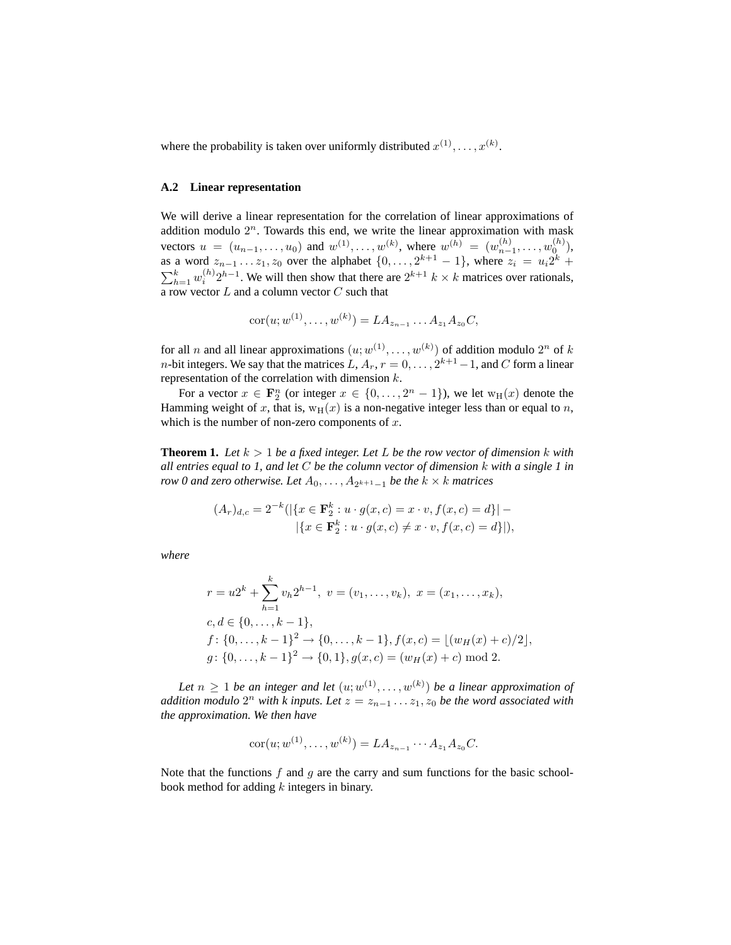where the probability is taken over uniformly distributed  $x^{(1)}, \ldots, x^{(k)}$ .

#### **A.2 Linear representation**

We will derive a linear representation for the correlation of linear approximations of addition modulo  $2<sup>n</sup>$ . Towards this end, we write the linear approximation with mask vectors  $u = (u_{n-1}, \ldots, u_0)$  and  $w^{(1)}, \ldots, w^{(k)}$ , where  $w^{(h)} = (w_{n-1}^{(h)}, \ldots, w_0^{(h)})$ , as a word  $z_{n-1} \ldots z_1$ ,  $z_0$  over the alphabet  $\{0, \ldots, 2^{k+1} - 1\}$ , where  $z_i = u_i 2^k + ...$  $\sum_{h=1}^{k} w_i^{(h)} 2^{h-1}$ . We will then show that there are  $2^{k+1} k \times k$  matrices over rationals, a row vector  $L$  and a column vector  $C$  such that

$$
cor(u; w^{(1)}, \dots, w^{(k)}) = LA_{z_{n-1}} \dots A_{z_1} A_{z_0} C,
$$

for all n and all linear approximations  $(u; w^{(1)}, \dots, w^{(k)})$  of addition modulo  $2^n$  of k *n*-bit integers. We say that the matrices  $\hat{L}$ ,  $A_r$ ,  $r = 0, \dots, 2^{k+1} - 1$ , and  $C$  form a linear representation of the correlation with dimension  $k$ .

For a vector  $x \in \mathbf{F}_2^n$  (or integer  $x \in \{0, \ldots, 2^n - 1\}$ ), we let  $w_H(x)$  denote the Hamming weight of x, that is,  $w_H(x)$  is a non-negative integer less than or equal to n, which is the number of non-zero components of  $x$ .

**Theorem 1.** Let  $k > 1$  be a fixed integer. Let L be the row vector of dimension k with *all entries equal to 1, and let* C *be the column vector of dimension* k *with a single 1 in row 0 and zero otherwise. Let*  $A_0, \ldots, A_{2^{k+1}-1}$  *be the*  $k \times k$  *matrices* 

$$
(A_r)_{d,c} = 2^{-k} (|\{x \in \mathbf{F}_2^k : u \cdot g(x,c) = x \cdot v, f(x,c) = d\}| - |\{x \in \mathbf{F}_2^k : u \cdot g(x,c) \neq x \cdot v, f(x,c) = d\}|),
$$

*where*

$$
r = u2^{k} + \sum_{h=1}^{k} v_h 2^{h-1}, \ v = (v_1, \dots, v_k), \ x = (x_1, \dots, x_k),
$$
  
\n
$$
c, d \in \{0, \dots, k-1\},
$$
  
\n
$$
f: \{0, \dots, k-1\}^{2} \to \{0, \dots, k-1\}, f(x, c) = \lfloor (w_H(x) + c)/2 \rfloor,
$$
  
\n
$$
g: \{0, \dots, k-1\}^{2} \to \{0, 1\}, g(x, c) = (w_H(x) + c) \text{ mod } 2.
$$

Let  $n \geq 1$  be an integer and let  $(u; w^{(1)}, \ldots, w^{(k)})$  be a linear approximation of *addition modulo*  $2^n$  *with k inputs. Let*  $z = z_{n-1} \ldots z_1$ ,  $z_0$  *be the word associated with the approximation. We then have*

$$
cor(u; w^{(1)}, \dots, w^{(k)}) = LA_{z_{n-1}} \cdots A_{z_1} A_{z_0} C.
$$

Note that the functions  $f$  and  $g$  are the carry and sum functions for the basic schoolbook method for adding  $k$  integers in binary.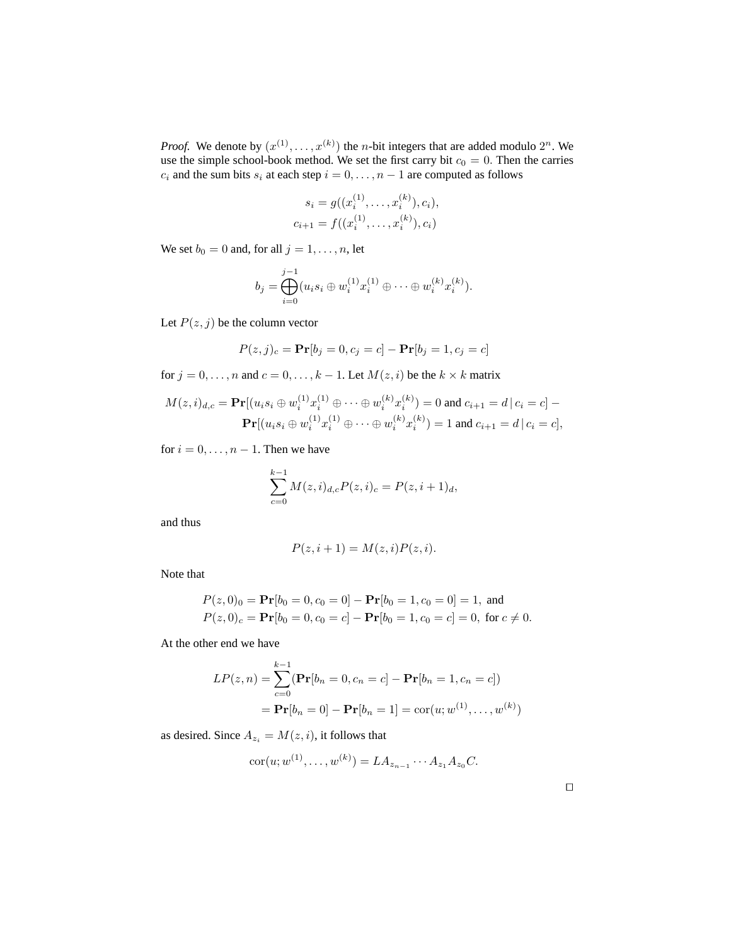*Proof.* We denote by  $(x^{(1)},...,x^{(k)})$  the *n*-bit integers that are added modulo  $2^n$ . We use the simple school-book method. We set the first carry bit  $c_0 = 0$ . Then the carries  $c_i$  and the sum bits  $s_i$  at each step  $i = 0, \ldots, n - 1$  are computed as follows

$$
s_i = g((x_i^{(1)}, \dots, x_i^{(k)}), c_i),
$$
  

$$
c_{i+1} = f((x_i^{(1)}, \dots, x_i^{(k)}), c_i)
$$

We set  $b_0 = 0$  and, for all  $j = 1, \ldots, n$ , let

$$
b_j = \bigoplus_{i=0}^{j-1} (u_i s_i \oplus w_i^{(1)} x_i^{(1)} \oplus \cdots \oplus w_i^{(k)} x_i^{(k)}).
$$

Let  $P(z, j)$  be the column vector

$$
P(z,j)_c = \mathbf{Pr}[b_j=0,c_j=c] - \mathbf{Pr}[b_j=1,c_j=c]
$$

for  $j = 0, \ldots, n$  and  $c = 0, \ldots, k - 1$ . Let  $M(z, i)$  be the  $k \times k$  matrix

$$
M(z, i)_{d,c} = \mathbf{Pr}[(u_i s_i \oplus w_i^{(1)} x_i^{(1)} \oplus \dots \oplus w_i^{(k)} x_i^{(k)}) = 0 \text{ and } c_{i+1} = d | c_i = c] - \mathbf{Pr}[(u_i s_i \oplus w_i^{(1)} x_i^{(1)} \oplus \dots \oplus w_i^{(k)} x_i^{(k)}) = 1 \text{ and } c_{i+1} = d | c_i = c],
$$

for  $i = 0, \ldots, n - 1$ . Then we have

$$
\sum_{c=0}^{k-1} M(z,i)_{d,c} P(z,i)_c = P(z,i+1)_d,
$$

and thus

$$
P(z, i + 1) = M(z, i)P(z, i).
$$

Note that

$$
P(z,0)_0 = \mathbf{Pr}[b_0 = 0, c_0 = 0] - \mathbf{Pr}[b_0 = 1, c_0 = 0] = 1, \text{ and}
$$
  

$$
P(z,0)_c = \mathbf{Pr}[b_0 = 0, c_0 = c] - \mathbf{Pr}[b_0 = 1, c_0 = c] = 0, \text{ for } c \neq 0.
$$

At the other end we have

$$
LP(z, n) = \sum_{c=0}^{k-1} (\mathbf{Pr}[b_n = 0, c_n = c] - \mathbf{Pr}[b_n = 1, c_n = c])
$$
  
=  $\mathbf{Pr}[b_n = 0] - \mathbf{Pr}[b_n = 1] = \text{cor}(u; w^{(1)}, \dots, w^{(k)})$ 

as desired. Since  $A_{z_i} = M(z, i)$ , it follows that

$$
cor(u; w^{(1)}, \dots, w^{(k)}) = LA_{z_{n-1}} \cdots A_{z_1} A_{z_0} C.
$$

 $\Box$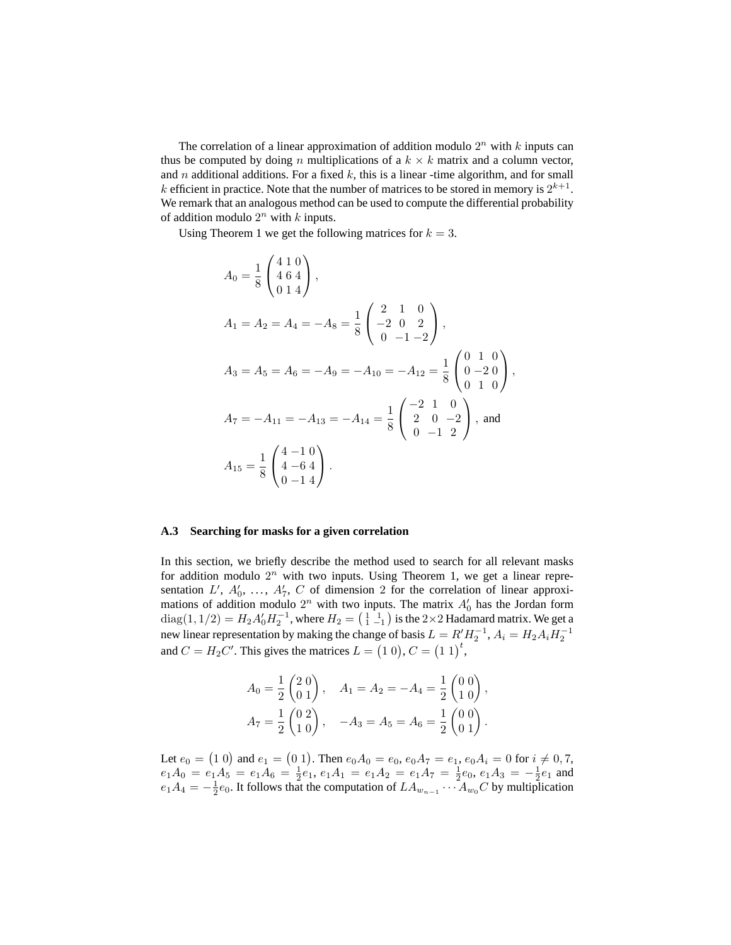The correlation of a linear approximation of addition modulo  $2^n$  with  $k$  inputs can thus be computed by doing n multiplications of a  $k \times k$  matrix and a column vector, and  $n$  additional additions. For a fixed  $k$ , this is a linear -time algorithm, and for small k efficient in practice. Note that the number of matrices to be stored in memory is  $2^{k+1}$ . We remark that an analogous method can be used to compute the differential probability of addition modulo  $2^n$  with k inputs.

Using Theorem 1 we get the following matrices for  $k = 3$ .

$$
A_0 = \frac{1}{8} \begin{pmatrix} 4 & 1 & 0 \\ 4 & 6 & 4 \\ 0 & 1 & 4 \end{pmatrix},
$$
  
\n
$$
A_1 = A_2 = A_4 = -A_8 = \frac{1}{8} \begin{pmatrix} 2 & 1 & 0 \\ -2 & 0 & 2 \\ 0 & -1 & -2 \end{pmatrix},
$$
  
\n
$$
A_3 = A_5 = A_6 = -A_9 = -A_{10} = -A_{12} = \frac{1}{8} \begin{pmatrix} 0 & 1 & 0 \\ 0 & -2 & 0 \\ 0 & 1 & 0 \end{pmatrix},
$$
  
\n
$$
A_7 = -A_{11} = -A_{13} = -A_{14} = \frac{1}{8} \begin{pmatrix} -2 & 1 & 0 \\ 2 & 0 & -2 \\ 0 & -1 & 2 \end{pmatrix},
$$
 and  
\n
$$
A_{15} = \frac{1}{8} \begin{pmatrix} 4 & -1 & 0 \\ 4 & -6 & 4 \\ 0 & -1 & 4 \end{pmatrix}.
$$

### **A.3 Searching for masks for a given correlation**

In this section, we briefly describe the method used to search for all relevant masks for addition modulo  $2^n$  with two inputs. Using Theorem 1, we get a linear representation  $L'$ ,  $A'_0$ , ...,  $A'_7$ , C of dimension 2 for the correlation of linear approximations of addition modulo  $2^n$  with two inputs. The matrix  $A'_0$  has the Jordan form  $\text{diag}(1,1/2) = H_2 A_0 H_2^{-1}$ , where  $H_2 = \begin{pmatrix} 1 & 1 \\ 1 & -1 \end{pmatrix}$  is the 2×2 Hadamard matrix. We get a new linear representation by making the change of basis  $L = R'H_2^{-1}$ ,  $A_i = H_2A_iH_2^{-1}$ and  $C = H_2 C'$ . This gives the matrices  $L = (1\ 0), C = (1\ 1)^t$ ,

$$
A_0 = \frac{1}{2} \begin{pmatrix} 2 & 0 \\ 0 & 1 \end{pmatrix}, \quad A_1 = A_2 = -A_4 = \frac{1}{2} \begin{pmatrix} 0 & 0 \\ 1 & 0 \end{pmatrix},
$$
  

$$
A_7 = \frac{1}{2} \begin{pmatrix} 0 & 2 \\ 1 & 0 \end{pmatrix}, \quad -A_3 = A_5 = A_6 = \frac{1}{2} \begin{pmatrix} 0 & 0 \\ 0 & 1 \end{pmatrix}.
$$

Let  $e_0 = (1\ 0)$  and  $e_1 = (0\ 1)$ . Then  $e_0 A_0 = e_0$ ,  $e_0 A_7 = e_1$ ,  $e_0 A_i = 0$  for  $i \neq 0, 7$ ,  $e_1A_0 = e_1A_5 = e_1A_6 = \frac{1}{2}e_1, e_1A_1 = e_1A_2 = e_1A_7 = \frac{1}{2}e_0, e_1A_3 = -\frac{1}{2}e_1$  and  $e_1A_4 = -\frac{1}{2}e_0$ . It follows that the computation of  $LA_{w_{n-1}} \cdots A_{w_0}C$  by multiplication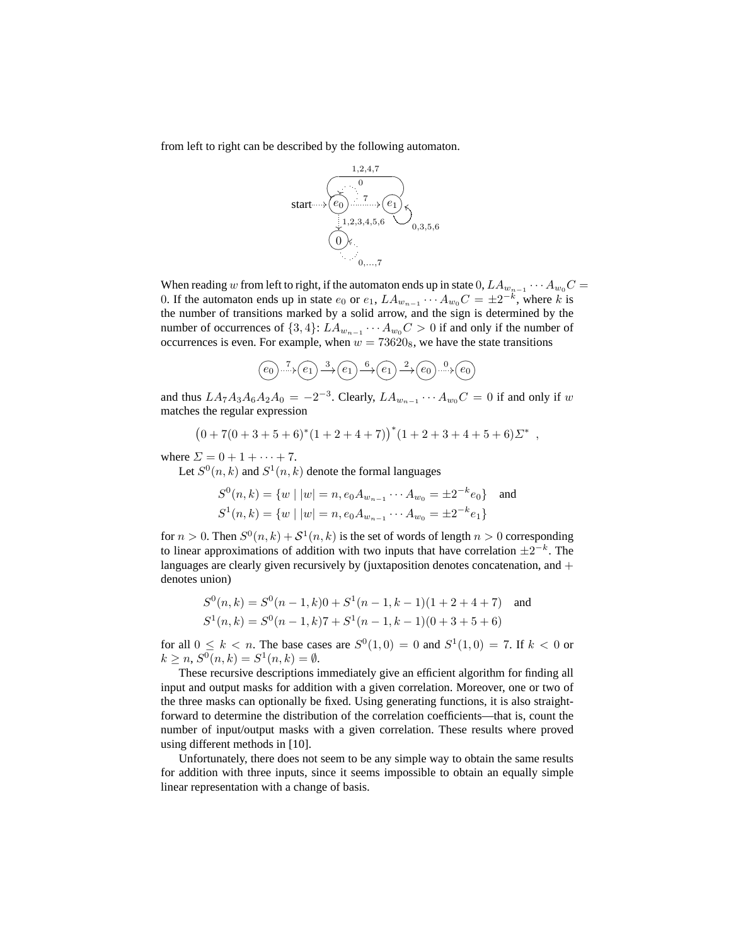from left to right can be described by the following automaton.



When reading  $w$  from left to right, if the automaton ends up in state  $0, L A_{w_{n-1}} \cdots A_{w_0} C = 0$ 0. If the automaton ends up in state  $e_0$  or  $e_1$ ,  $LA_{w_{n-1}} \cdots A_{w_0}C = \pm 2^{-k}$ , where k is the number of transitions marked by a solid arrow, and the sign is determined by the number of occurrences of  $\{3, 4\}$ :  $LA_{w_{n-1}} \cdots A_{w_0}C > 0$  if and only if the number of occurrences is even. For example, when  $w = 73620_8$ , we have the state transitions

$$
(e_0) \xrightarrow{\tau} (e_1) \xrightarrow{3} (e_1) \xrightarrow{6} (e_1) \xrightarrow{2} (e_0) \xrightarrow{0} (e_0)
$$

and thus  $LA_7A_3A_6A_2A_0 = -2^{-3}$ . Clearly,  $LA_{w_{n-1}} \cdots A_{w_0}C = 0$  if and only if w matches the regular expression

$$
(0+7(0+3+5+6)*(1+2+4+7))^*(1+2+3+4+5+6)\Sigma^*,
$$

where  $\Sigma = 0 + 1 + \cdots + 7$ .

Let  $S^0(n, k)$  and  $S^1(n, k)$  denote the formal languages

$$
S^{0}(n,k) = \{w \mid |w| = n, e_{0}A_{w_{n-1}}\cdots A_{w_{0}} = \pm 2^{-k}e_{0}\}
$$
 and  

$$
S^{1}(n,k) = \{w \mid |w| = n, e_{0}A_{w_{n-1}}\cdots A_{w_{0}} = \pm 2^{-k}e_{1}\}
$$

for  $n > 0$ . Then  $S^0(n, k) + S^1(n, k)$  is the set of words of length  $n > 0$  corresponding to linear approximations of addition with two inputs that have correlation  $\pm 2^{-k}$ . The languages are clearly given recursively by (juxtaposition denotes concatenation, and  $+$ denotes union)

$$
S^{0}(n,k) = S^{0}(n-1,k)0 + S^{1}(n-1,k-1)(1+2+4+7)
$$
 and  

$$
S^{1}(n,k) = S^{0}(n-1,k)7 + S^{1}(n-1,k-1)(0+3+5+6)
$$

for all  $0 \le k < n$ . The base cases are  $S^{0}(1,0) = 0$  and  $S^{1}(1,0) = 7$ . If  $k < 0$  or  $k \ge n, S^{0}(n,k) = S^{1}(n,k) = \emptyset.$ 

These recursive descriptions immediately give an efficient algorithm for finding all input and output masks for addition with a given correlation. Moreover, one or two of the three masks can optionally be fixed. Using generating functions, it is also straightforward to determine the distribution of the correlation coefficients—that is, count the number of input/output masks with a given correlation. These results where proved using different methods in [10].

Unfortunately, there does not seem to be any simple way to obtain the same results for addition with three inputs, since it seems impossible to obtain an equally simple linear representation with a change of basis.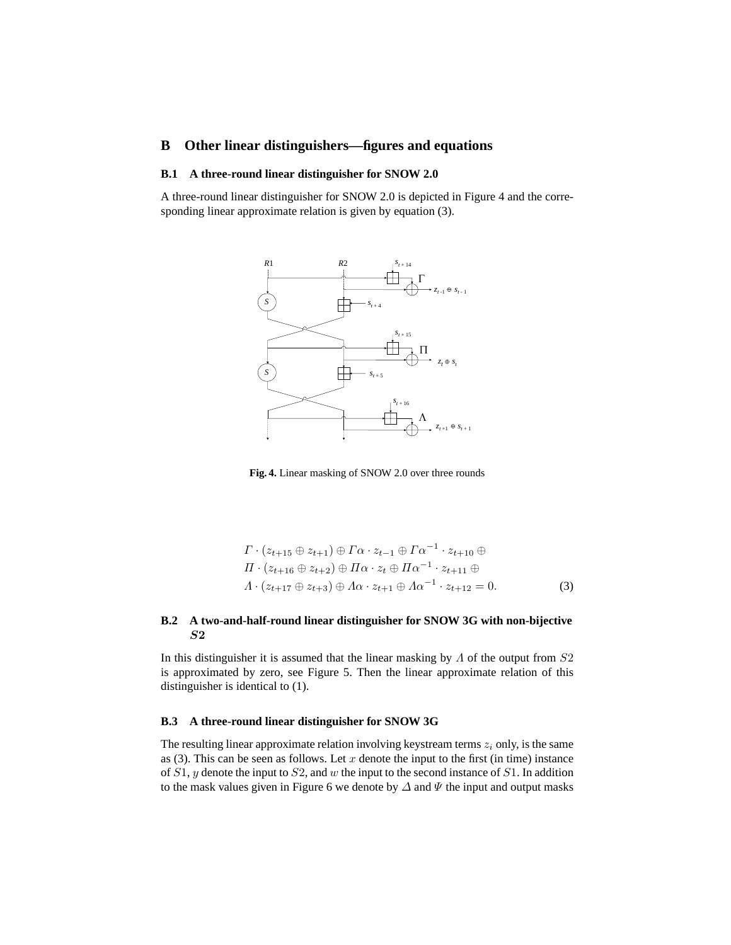# **B Other linear distinguishers—figures and equations**

### **B.1 A three-round linear distinguisher for SNOW 2.0**

A three-round linear distinguisher for SNOW 2.0 is depicted in Figure 4 and the corresponding linear approximate relation is given by equation (3).



**Fig. 4.** Linear masking of SNOW 2.0 over three rounds

$$
\Gamma \cdot (z_{t+15} \oplus z_{t+1}) \oplus \Gamma \alpha \cdot z_{t-1} \oplus \Gamma \alpha^{-1} \cdot z_{t+10} \oplus \n\Pi \cdot (z_{t+16} \oplus z_{t+2}) \oplus \Pi \alpha \cdot z_t \oplus \Pi \alpha^{-1} \cdot z_{t+11} \oplus \n\Lambda \cdot (z_{t+17} \oplus z_{t+3}) \oplus \Lambda \alpha \cdot z_{t+1} \oplus \Lambda \alpha^{-1} \cdot z_{t+12} = 0.
$$
\n(3)

### **B.2 A two-and-half-round linear distinguisher for SNOW 3G with non-bijective**  $\boldsymbol{S2}$

In this distinguisher it is assumed that the linear masking by  $\Lambda$  of the output from  $S2$ is approximated by zero, see Figure 5. Then the linear approximate relation of this distinguisher is identical to (1).

### **B.3 A three-round linear distinguisher for SNOW 3G**

The resulting linear approximate relation involving keystream terms  $z_i$  only, is the same as (3). This can be seen as follows. Let  $x$  denote the input to the first (in time) instance of  $S1$ , y denote the input to  $S2$ , and w the input to the second instance of  $S1$ . In addition to the mask values given in Figure 6 we denote by  $\Delta$  and  $\Psi$  the input and output masks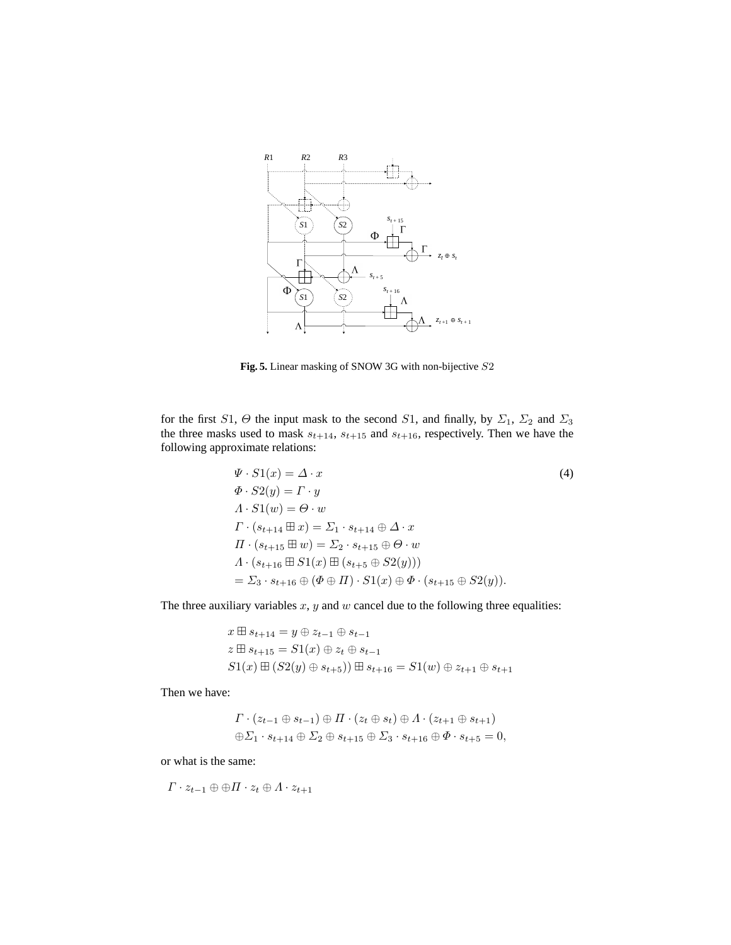

**Fig. 5.** Linear masking of SNOW 3G with non-bijective S2

for the first S1,  $\Theta$  the input mask to the second S1, and finally, by  $\Sigma_1$ ,  $\Sigma_2$  and  $\Sigma_3$ the three masks used to mask  $s_{t+14}$ ,  $s_{t+15}$  and  $s_{t+16}$ , respectively. Then we have the following approximate relations:

$$
\Psi \cdot S1(x) = \Delta \cdot x \tag{4}
$$
\n
$$
\Phi \cdot S2(y) = \Gamma \cdot y
$$
\n
$$
\Lambda \cdot S1(w) = \Theta \cdot w
$$
\n
$$
\Gamma \cdot (s_{t+14} \boxplus x) = \Sigma_1 \cdot s_{t+14} \oplus \Delta \cdot x
$$
\n
$$
\Pi \cdot (s_{t+15} \boxplus w) = \Sigma_2 \cdot s_{t+15} \oplus \Theta \cdot w
$$
\n
$$
\Lambda \cdot (s_{t+16} \boxplus S1(x) \boxplus (s_{t+5} \oplus S2(y)))
$$
\n
$$
= \Sigma_3 \cdot s_{t+16} \oplus (\Phi \oplus \Pi) \cdot S1(x) \oplus \Phi \cdot (s_{t+15} \oplus S2(y)).
$$

The three auxiliary variables  $x$ ,  $y$  and  $w$  cancel due to the following three equalities:

$$
x \boxplus s_{t+14} = y \oplus z_{t-1} \oplus s_{t-1}
$$
  
\n
$$
z \boxplus s_{t+15} = S1(x) \oplus z_t \oplus s_{t-1}
$$
  
\n
$$
S1(x) \boxplus (S2(y) \oplus s_{t+5})) \boxplus s_{t+16} = S1(w) \oplus z_{t+1} \oplus s_{t+1}
$$

Then we have:

$$
\Gamma \cdot (z_{t-1} \oplus s_{t-1}) \oplus \Pi \cdot (z_t \oplus s_t) \oplus \Lambda \cdot (z_{t+1} \oplus s_{t+1})
$$
  

$$
\oplus \Sigma_1 \cdot s_{t+14} \oplus \Sigma_2 \oplus s_{t+15} \oplus \Sigma_3 \cdot s_{t+16} \oplus \Phi \cdot s_{t+5} = 0,
$$

or what is the same:

$$
\varGamma:z_{t-1}\oplus\oplus\Pi:z_t\oplus\varLambda\cdot z_{t+1}
$$